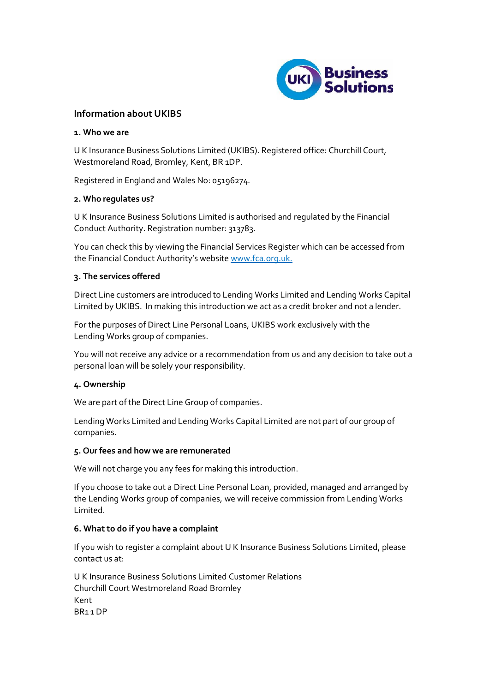

# **Information about UKIBS**

#### **1. Who we are**

U K Insurance Business Solutions Limited (UKIBS). Registered office: Churchill Court, Westmoreland Road, Bromley, Kent, BR 1DP.

Registered in England and Wales No: 05196274.

## **2. Who regulates us?**

U K Insurance Business Solutions Limited is authorised and regulated by the Financial Conduct Authority. Registration number: 313783.

You can check this by viewing the Financial Services Register which can be accessed from the Financial Conduct Authority's websit[e www.fca.org.uk.](http://www.fca.org.uk/)

## **3. The services offered**

Direct Line customers are introduced to Lending Works Limited and Lending Works Capital Limited by UKIBS. In making this introduction we act as a credit broker and not a lender.

For the purposes of Direct Line Personal Loans, UKIBS work exclusively with the Lending Works group of companies.

You will not receive any advice or a recommendation from us and any decision to take out a personal loan will be solely your responsibility.

## **4. Ownership**

We are part of the Direct Line Group of companies.

Lending Works Limited and Lending Works Capital Limited are not part of our group of companies.

#### **5. Our fees and how we are remunerated**

We will not charge you any fees for making this introduction.

If you choose to take out a Direct Line Personal Loan, provided, managed and arranged by the Lending Works group of companies, we will receive commission from Lending Works Limited.

## **6. What to do if you have a complaint**

If you wish to register a complaint about U K Insurance Business Solutions Limited, please contact us at:

U K Insurance Business Solutions Limited Customer Relations Churchill Court Westmoreland Road Bromley Kent BR1 1 DP